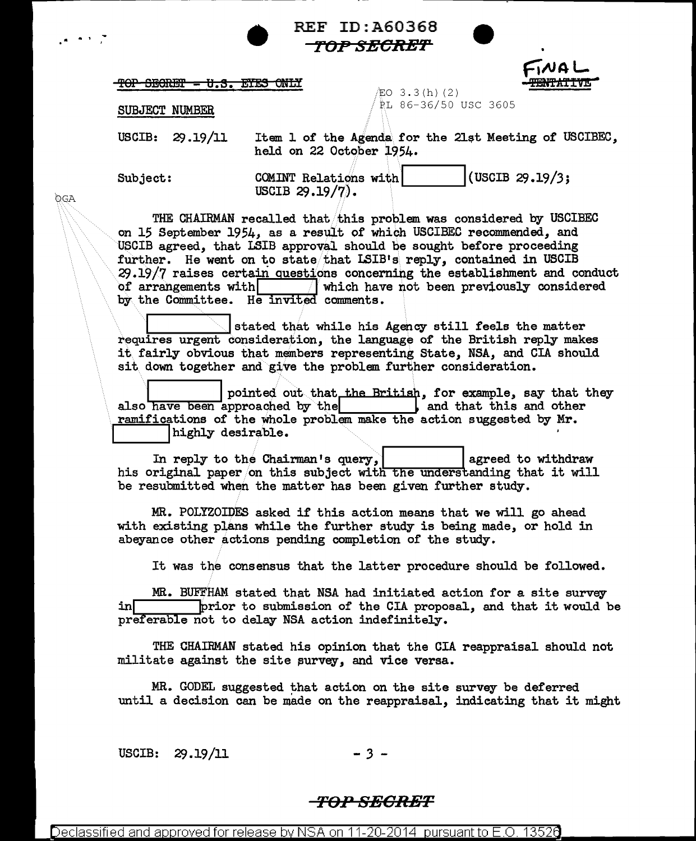| <b>REF</b> |  |  |  |
|------------|--|--|--|
| ŦĆ         |  |  |  |

 $\sim$  $\bullet$ 

**OGA** 

|                                                                                                                                                                                                     |                                                                                                                                                                                                                                                                                                                                                                                                                                                                                                                                                                                                                                                                                                                                                               |                                                                                                                                     | <b>REF ID: A60368</b> |                           |                    |  |
|-----------------------------------------------------------------------------------------------------------------------------------------------------------------------------------------------------|---------------------------------------------------------------------------------------------------------------------------------------------------------------------------------------------------------------------------------------------------------------------------------------------------------------------------------------------------------------------------------------------------------------------------------------------------------------------------------------------------------------------------------------------------------------------------------------------------------------------------------------------------------------------------------------------------------------------------------------------------------------|-------------------------------------------------------------------------------------------------------------------------------------|-----------------------|---------------------------|--------------------|--|
|                                                                                                                                                                                                     |                                                                                                                                                                                                                                                                                                                                                                                                                                                                                                                                                                                                                                                                                                                                                               |                                                                                                                                     | <i>TOP SECRET</i>     |                           |                    |  |
|                                                                                                                                                                                                     | <del>TOP SEGRET = U.S. ETES ONLY</del>                                                                                                                                                                                                                                                                                                                                                                                                                                                                                                                                                                                                                                                                                                                        |                                                                                                                                     |                       |                           | TNA L              |  |
|                                                                                                                                                                                                     | SUBJECT NUMBER                                                                                                                                                                                                                                                                                                                                                                                                                                                                                                                                                                                                                                                                                                                                                |                                                                                                                                     | $EO$ 3.3(h)(2)        | RL 86-36/50 USC 3605      |                    |  |
|                                                                                                                                                                                                     | USCIB: $29.19/11$                                                                                                                                                                                                                                                                                                                                                                                                                                                                                                                                                                                                                                                                                                                                             | Item 1 of the Agenda for the 21st Meeting of USCIBEC,<br>held on 22 October 1954.                                                   |                       |                           |                    |  |
|                                                                                                                                                                                                     | Subject:                                                                                                                                                                                                                                                                                                                                                                                                                                                                                                                                                                                                                                                                                                                                                      | COMINT Relations with<br>USCIB $29.19/7$ .                                                                                          |                       |                           | (USCIB $29.19/3$ ; |  |
|                                                                                                                                                                                                     | THE CHAIRMAN recalled that this problem was considered by USCIBEC<br>on 15 September 1954, as a result of which USCIBEC recommended, and<br>USCIB agreed, that LSIB approval should be sought before proceeding<br>further. He went on to state that ISIB's reply, contained in USCIB<br>29.19/7 raises certain questions concerning the establishment and conduct<br>of arrangements with<br>which have not been previously considered<br>by the Committee. He invited comments.<br>stated that while his Agency still feels the matter<br>requires urgent consideration, the language of the British reply makes<br>it fairly obvious that members representing State, NSA, and CIA should<br>sit down together and give the problem further consideration. |                                                                                                                                     |                       |                           |                    |  |
|                                                                                                                                                                                                     | also have been approached by the<br>ramifications of the whole problem make the action suggested by Mr.<br>highly desirable.                                                                                                                                                                                                                                                                                                                                                                                                                                                                                                                                                                                                                                  | pointed out that the British, for example, say that they                                                                            |                       | , and that this and other |                    |  |
|                                                                                                                                                                                                     | his original paper on this subject with the understanding that it will<br>be resubmitted when the matter has been given further study.                                                                                                                                                                                                                                                                                                                                                                                                                                                                                                                                                                                                                        | In reply to the Chairman's query,                                                                                                   |                       |                           | agreed to withdraw |  |
| MR. POLYZOIDES asked if this action means that we will go ahead<br>with existing plans while the further study is being made, or hold in<br>abeyance other actions pending completion of the study. |                                                                                                                                                                                                                                                                                                                                                                                                                                                                                                                                                                                                                                                                                                                                                               |                                                                                                                                     |                       |                           |                    |  |
|                                                                                                                                                                                                     |                                                                                                                                                                                                                                                                                                                                                                                                                                                                                                                                                                                                                                                                                                                                                               | It was the consensus that the latter procedure should be followed.                                                                  |                       |                           |                    |  |
|                                                                                                                                                                                                     | in∏<br>preferable not to delay NSA action indefinitely.                                                                                                                                                                                                                                                                                                                                                                                                                                                                                                                                                                                                                                                                                                       | MR. BUFFHAM stated that NSA had initiated action for a site survey<br>prior to submission of the CIA proposal, and that it would be |                       |                           |                    |  |
|                                                                                                                                                                                                     | militate against the site survey, and vice versa.                                                                                                                                                                                                                                                                                                                                                                                                                                                                                                                                                                                                                                                                                                             | THE CHAIRMAN stated his opinion that the CIA reappraisal should not                                                                 |                       |                           |                    |  |
|                                                                                                                                                                                                     | until a decision can be made on the reappraisal, indicating that it might                                                                                                                                                                                                                                                                                                                                                                                                                                                                                                                                                                                                                                                                                     | MR. GODEL suggested that action on the site survey be deferred                                                                      |                       |                           |                    |  |
|                                                                                                                                                                                                     |                                                                                                                                                                                                                                                                                                                                                                                                                                                                                                                                                                                                                                                                                                                                                               |                                                                                                                                     |                       |                           |                    |  |

USCIB: 29.19/11  $-3 -$ 

## <del>-TOP SECRET</del>

Declassified and approved for release by NSA on 11-20-2014 pursuant to E.O. 13526